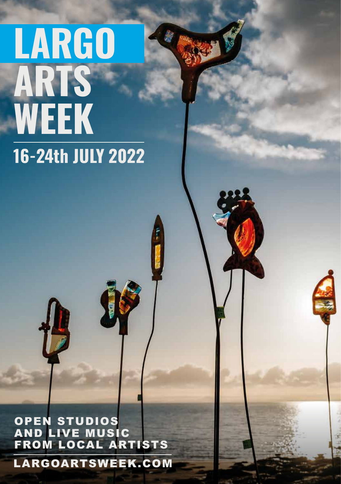# **LARGO ARTS WEEK 16-24th JULY 2022**

OPEN STUDIOS AND LIVE MUSIC FROM LOCAL ARTISTS

LARGOARTSWEEK.COM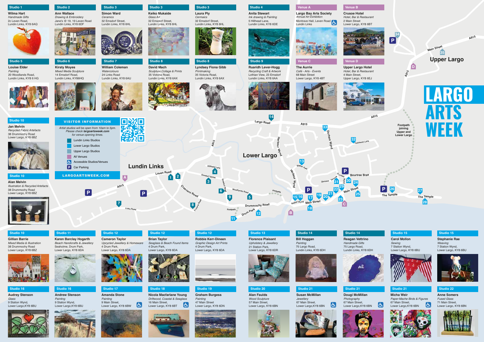

**A91<sup>5</sup>**





### **Wilma Hart** *Handmade Gifts*

2c Leven Road, Lundin Links, KY8 6AQ



**Studio 5 Louise Elder** *Painting* 20 Woodlands Road, Lundin Links, KY8 6 HG



**Studio 2 Ann Wallace** *Drawing & Embroidery* Jane's @ 19, 19 Leven Road Lundin Links, KY8 6DF



**Nicola Macfarlane Young** *Driftwood, Coastal & Seaglass* 16 Main Street, Lower Largo, KY8 6BT  $|\mathbf{G}|$ 



**Studio 3 Simon Ward** *Ceramics* 32 Emsdorf Street, Lundin Links, KY8 6HL



**Micha Weir** *Paper-Mache Birds & Figures* 67 Main Street, l& Lower Largo, KY8 6BN





#### **Studio 16**

**Andrew Stenson** *Painting*  9 Station Wynd Lower Largo,KY8 6BU

## **Studio 17 Amanda Stone**

*Painting*  9 Main Street, Lower Largo, KY8 6BW



*Photography* 67 Main Street, Lower Largo, KY8 6BN

l&l







**Keiko Mukaide** *Glass Art* 32 Emsdorf Street,



**Studio 8 David Mach**

> 35 Victoria Road, Lundin Links, KY8 6AX



**Studio 10 Alan Melvin**

*Illustration & Recycled Artefacts* 38 Drummochy Road Lower Largo, KY8 6BZ

**Studio 10 Jan Melvin**

*Recycled Fabric Artefacts* 38 Drummochy Road Lower Largo, KY8 6BZ

#### **Studio 18**

# **Studio 11**

**Karen Barclay Hogarth** *Beach Handicrafts & Jewellery*  Seaholme, Drum Park, Lower Largo, KY8 6DA



**Studio 12**



**Cameron Taylor** *Upcycled Jewellery & Homeware* 4 Drum Park, Lower Largo, KY8 6DA

#### **Studio 19**

**Graham Burgess** *Painting* 47 Main Street Lower Largo, KY8 6DN



**Studio 21**

#### **Studio 22**

**Anne Somers** *Fused Glass* 71 Main Street, Lower Largo, KY8 6BN



# **Studio 20**







# **Studio 21 Susan McMillan** *Jewellery*





**Venue A**





**Largo Bay Arts Society** Montrave Hall, Leven Road *Annual Art Exhibition*



# **Studio 10**

**Gillian Barrie** *Mixed Media & Illustration*  38 Drummochy Road Lower Largo, KY8 6BZ

**Studio 12**

**Brian Taylor** *Seaglass & Beach Found Items* 4 Drum Park, Lower Largo, KY8 6DA



**Studio 12**

**Robbie Kerr-Dineen** *Graphic Design Art Prints* 4 Drum Park, Lower Largo, KY8 6DA



#### **Studio 15**

**Carol Mollon** *Sewing* 7 Station Wynd, Lower Largo, KY8 6BU



# **Studio 13 Florence Plaisant**

*Upholstery & Jewellery*  21 Station Park, Lower Largo, KY8 6DR



#### **Studio 15**

**Stephanie Rae** *Weaving* 7 Station Wynd, Lower Largo, KY8 6BU



## **Studio 16**

**Audrey Stenson** *Glass* 9 Station Wynd, Lower Largo,KY8 6BU



# **Studio 14 Bill Hoggan**

*Painting*  75 Largo Road, Lundin Links, KY8 6DH



**Studio 14**



**Reagan Vettrino**

 $\mathbf{F}$ 

*Handmade Gifts* 75 Largo Road, Lundin Links, KY8 6DH

**Venue B Crusoe Hotel**

#### *Hotel, Bar & Restaurant*

2 Main Street

#### Lower Largo, KY8 6BT



*Cermaics* 32 Emsdorf Street, Lundin Links, KY8 6HL







**Studio 4 Anita Stewart** *Ink drawing & Painting*